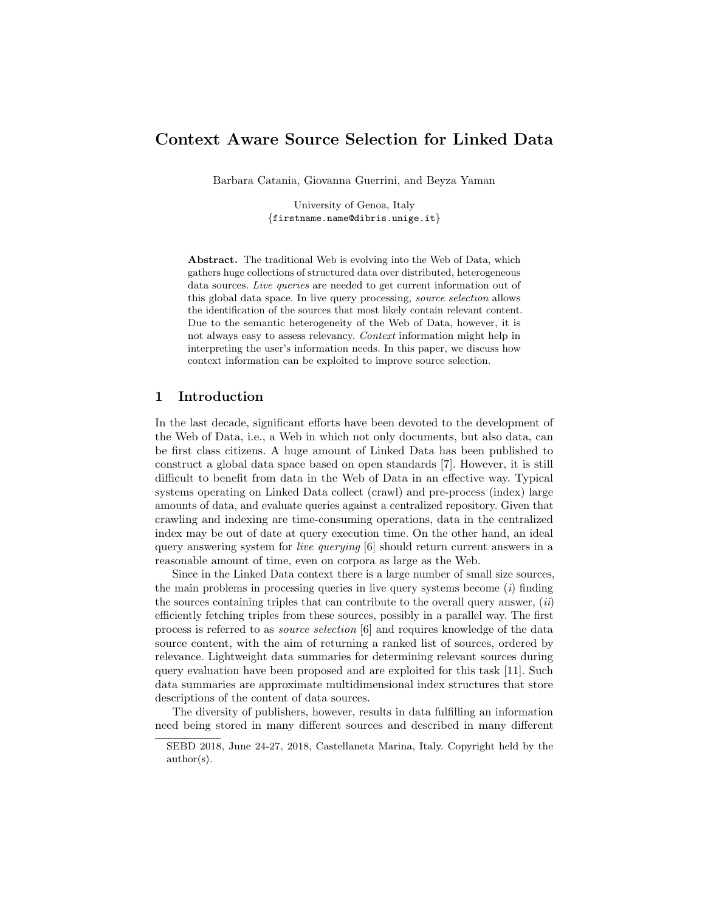# Context Aware Source Selection for Linked Data

Barbara Catania, Giovanna Guerrini, and Beyza Yaman

University of Genoa, Italy {firstname.name@dibris.unige.it}

Abstract. The traditional Web is evolving into the Web of Data, which gathers huge collections of structured data over distributed, heterogeneous data sources. Live queries are needed to get current information out of this global data space. In live query processing, source selection allows the identification of the sources that most likely contain relevant content. Due to the semantic heterogeneity of the Web of Data, however, it is not always easy to assess relevancy. Context information might help in interpreting the user's information needs. In this paper, we discuss how context information can be exploited to improve source selection.

### 1 Introduction

In the last decade, significant efforts have been devoted to the development of the Web of Data, i.e., a Web in which not only documents, but also data, can be first class citizens. A huge amount of Linked Data has been published to construct a global data space based on open standards [7]. However, it is still difficult to benefit from data in the Web of Data in an effective way. Typical systems operating on Linked Data collect (crawl) and pre-process (index) large amounts of data, and evaluate queries against a centralized repository. Given that crawling and indexing are time-consuming operations, data in the centralized index may be out of date at query execution time. On the other hand, an ideal query answering system for live querying [6] should return current answers in a reasonable amount of time, even on corpora as large as the Web.

Since in the Linked Data context there is a large number of small size sources, the main problems in processing queries in live query systems become  $(i)$  finding the sources containing triples that can contribute to the overall query answer,  $(ii)$ efficiently fetching triples from these sources, possibly in a parallel way. The first process is referred to as source selection [6] and requires knowledge of the data source content, with the aim of returning a ranked list of sources, ordered by relevance. Lightweight data summaries for determining relevant sources during query evaluation have been proposed and are exploited for this task [11]. Such data summaries are approximate multidimensional index structures that store descriptions of the content of data sources.

The diversity of publishers, however, results in data fulfilling an information need being stored in many different sources and described in many different

SEBD 2018, June 24-27, 2018, Castellaneta Marina, Italy. Copyright held by the author(s).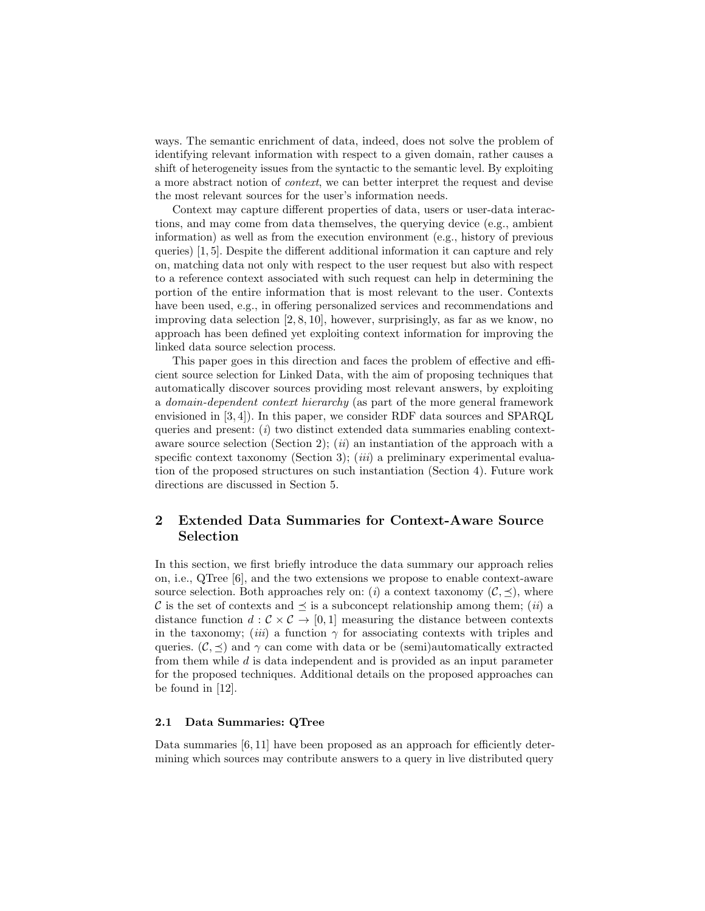ways. The semantic enrichment of data, indeed, does not solve the problem of identifying relevant information with respect to a given domain, rather causes a shift of heterogeneity issues from the syntactic to the semantic level. By exploiting a more abstract notion of context, we can better interpret the request and devise the most relevant sources for the user's information needs.

Context may capture different properties of data, users or user-data interactions, and may come from data themselves, the querying device (e.g., ambient information) as well as from the execution environment (e.g., history of previous queries) [1, 5]. Despite the different additional information it can capture and rely on, matching data not only with respect to the user request but also with respect to a reference context associated with such request can help in determining the portion of the entire information that is most relevant to the user. Contexts have been used, e.g., in offering personalized services and recommendations and improving data selection [2, 8, 10], however, surprisingly, as far as we know, no approach has been defined yet exploiting context information for improving the linked data source selection process.

This paper goes in this direction and faces the problem of effective and efficient source selection for Linked Data, with the aim of proposing techniques that automatically discover sources providing most relevant answers, by exploiting a domain-dependent context hierarchy (as part of the more general framework envisioned in [3, 4]). In this paper, we consider RDF data sources and SPARQL queries and present:  $(i)$  two distinct extended data summaries enabling contextaware source selection (Section 2); (*ii*) an instantiation of the approach with a specific context taxonomy (Section 3); (*iii*) a preliminary experimental evaluation of the proposed structures on such instantiation (Section 4). Future work directions are discussed in Section 5.

# 2 Extended Data Summaries for Context-Aware Source Selection

In this section, we first briefly introduce the data summary our approach relies on, i.e., QTree [6], and the two extensions we propose to enable context-aware source selection. Both approaches rely on: (i) a context taxonomy  $(C, \preceq)$ , where C is the set of contexts and  $\preceq$  is a subconcept relationship among them; (*ii*) a distance function  $d: \mathcal{C} \times \mathcal{C} \rightarrow [0, 1]$  measuring the distance between contexts in the taxonomy; (iii) a function  $\gamma$  for associating contexts with triples and queries.  $(C, \prec)$  and  $\gamma$  can come with data or be (semi)automatically extracted from them while d is data independent and is provided as an input parameter for the proposed techniques. Additional details on the proposed approaches can be found in [12].

#### 2.1 Data Summaries: QTree

Data summaries [6, 11] have been proposed as an approach for efficiently determining which sources may contribute answers to a query in live distributed query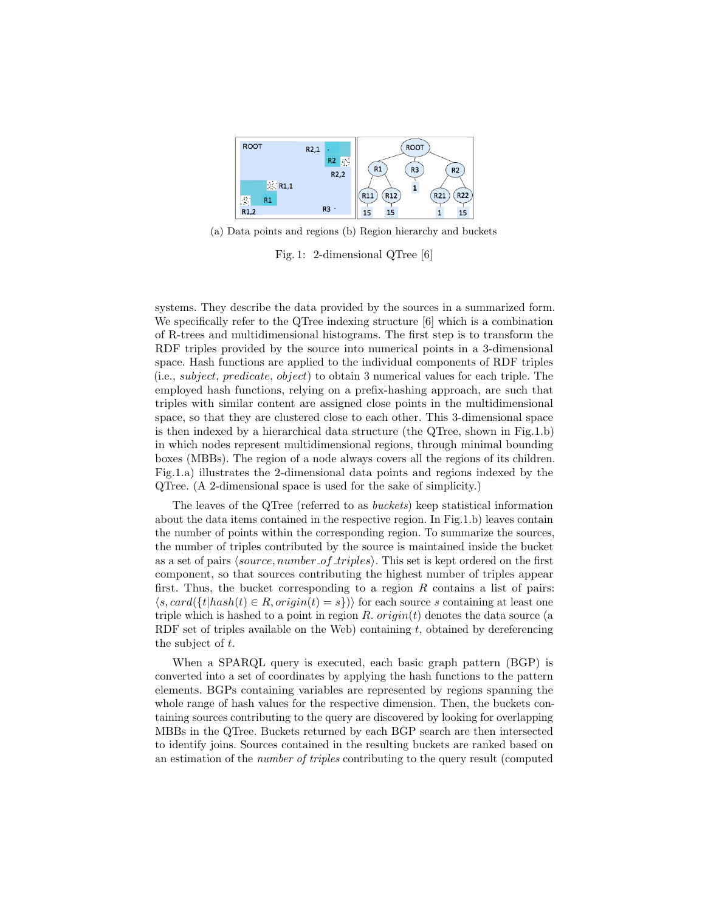

(a) Data points and regions (b) Region hierarchy and buckets

Fig. 1: 2-dimensional QTree [6]

systems. They describe the data provided by the sources in a summarized form. We specifically refer to the QTree indexing structure [6] which is a combination of R-trees and multidimensional histograms. The first step is to transform the RDF triples provided by the source into numerical points in a 3-dimensional space. Hash functions are applied to the individual components of RDF triples (i.e., *subject, predicate, object*) to obtain 3 numerical values for each triple. The employed hash functions, relying on a prefix-hashing approach, are such that triples with similar content are assigned close points in the multidimensional space, so that they are clustered close to each other. This 3-dimensional space is then indexed by a hierarchical data structure (the QTree, shown in Fig.1.b) in which nodes represent multidimensional regions, through minimal bounding boxes (MBBs). The region of a node always covers all the regions of its children. Fig.1.a) illustrates the 2-dimensional data points and regions indexed by the QTree. (A 2-dimensional space is used for the sake of simplicity.)

The leaves of the QTree (referred to as buckets) keep statistical information about the data items contained in the respective region. In Fig.1.b) leaves contain the number of points within the corresponding region. To summarize the sources, the number of triples contributed by the source is maintained inside the bucket as a set of pairs *(source, number of triples)*. This set is kept ordered on the first component, so that sources contributing the highest number of triples appear first. Thus, the bucket corresponding to a region  $R$  contains a list of pairs:  $\langle s, card({t|hash(t) \in R}, origin(t) = s \rangle)$  for each source s containing at least one triple which is hashed to a point in region R.  $origin(t)$  denotes the data source (a RDF set of triples available on the Web) containing  $t$ , obtained by dereferencing the subject of t.

When a SPARQL query is executed, each basic graph pattern (BGP) is converted into a set of coordinates by applying the hash functions to the pattern elements. BGPs containing variables are represented by regions spanning the whole range of hash values for the respective dimension. Then, the buckets containing sources contributing to the query are discovered by looking for overlapping MBBs in the QTree. Buckets returned by each BGP search are then intersected to identify joins. Sources contained in the resulting buckets are ranked based on an estimation of the number of triples contributing to the query result (computed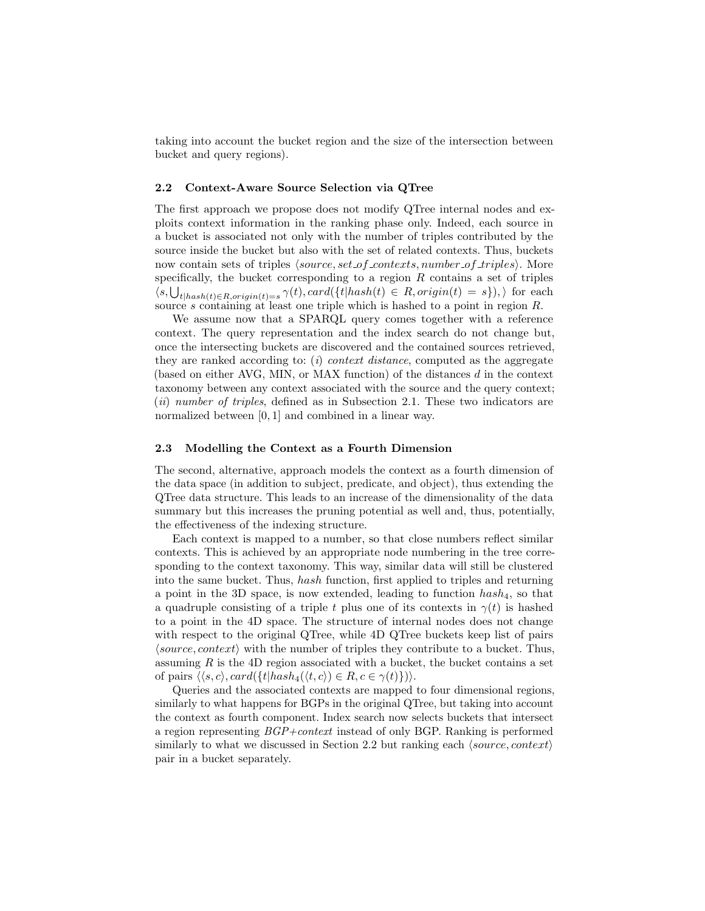taking into account the bucket region and the size of the intersection between bucket and query regions).

#### 2.2 Context-Aware Source Selection via QTree

The first approach we propose does not modify QTree internal nodes and exploits context information in the ranking phase only. Indeed, each source in a bucket is associated not only with the number of triples contributed by the source inside the bucket but also with the set of related contexts. Thus, buckets now contain sets of triples  $\langle source, set\_of\_contents, number\_of\_triples \rangle$ . More specifically, the bucket corresponding to a region  $R$  contains a set of triples  $\langle s, \bigcup_{t|hash(t) \in R, origin(t)=s} \gamma(t), card(\{t|hash(t) \in R, origin(t)=s\}),\rangle$  for each source s containing at least one triple which is hashed to a point in region  $R$ .

We assume now that a SPARQL query comes together with a reference context. The query representation and the index search do not change but, once the intersecting buckets are discovered and the contained sources retrieved, they are ranked according to: (i) *context distance*, computed as the aggregate (based on either AVG, MIN, or MAX function) of the distances  $d$  in the context taxonomy between any context associated with the source and the query context; (*ii*) number of triples, defined as in Subsection 2.1. These two indicators are normalized between [0, 1] and combined in a linear way.

#### 2.3 Modelling the Context as a Fourth Dimension

The second, alternative, approach models the context as a fourth dimension of the data space (in addition to subject, predicate, and object), thus extending the QTree data structure. This leads to an increase of the dimensionality of the data summary but this increases the pruning potential as well and, thus, potentially, the effectiveness of the indexing structure.

Each context is mapped to a number, so that close numbers reflect similar contexts. This is achieved by an appropriate node numbering in the tree corresponding to the context taxonomy. This way, similar data will still be clustered into the same bucket. Thus, hash function, first applied to triples and returning a point in the 3D space, is now extended, leading to function  $hash_4$ , so that a quadruple consisting of a triple t plus one of its contexts in  $\gamma(t)$  is hashed to a point in the 4D space. The structure of internal nodes does not change with respect to the original QTree, while 4D QTree buckets keep list of pairs  $\langle source, context \rangle$  with the number of triples they contribute to a bucket. Thus, assuming  $R$  is the 4D region associated with a bucket, the bucket contains a set of pairs  $\langle \langle s, c \rangle, \text{card}(\{t | hash_4(\langle t, c \rangle) \in R, c \in \gamma(t)\})\rangle.$ 

Queries and the associated contexts are mapped to four dimensional regions, similarly to what happens for BGPs in the original QTree, but taking into account the context as fourth component. Index search now selects buckets that intersect a region representing  $BGP + context$  instead of only BGP. Ranking is performed similarly to what we discussed in Section 2.2 but ranking each  $\langle source, context \rangle$ pair in a bucket separately.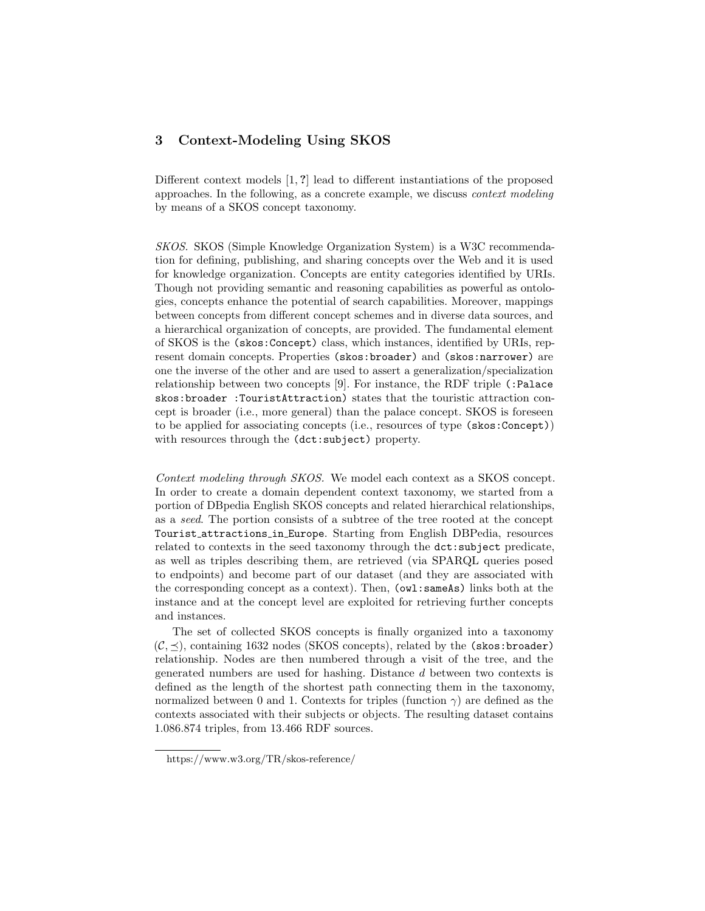# 3 Context-Modeling Using SKOS

Different context models [1, ?] lead to different instantiations of the proposed approaches. In the following, as a concrete example, we discuss context modeling by means of a SKOS concept taxonomy.

SKOS. SKOS (Simple Knowledge Organization System) is a W3C recommendation for defining, publishing, and sharing concepts over the Web and it is used for knowledge organization. Concepts are entity categories identified by URIs. Though not providing semantic and reasoning capabilities as powerful as ontologies, concepts enhance the potential of search capabilities. Moreover, mappings between concepts from different concept schemes and in diverse data sources, and a hierarchical organization of concepts, are provided. The fundamental element of SKOS is the (skos:Concept) class, which instances, identified by URIs, represent domain concepts. Properties (skos:broader) and (skos:narrower) are one the inverse of the other and are used to assert a generalization/specialization relationship between two concepts [9]. For instance, the RDF triple (:Palace skos:broader :TouristAttraction) states that the touristic attraction concept is broader (i.e., more general) than the palace concept. SKOS is foreseen to be applied for associating concepts (i.e., resources of type (skos:Concept)) with resources through the (dct:subject) property.

Context modeling through SKOS. We model each context as a SKOS concept. In order to create a domain dependent context taxonomy, we started from a portion of DBpedia English SKOS concepts and related hierarchical relationships, as a seed. The portion consists of a subtree of the tree rooted at the concept Tourist attractions in Europe. Starting from English DBPedia, resources related to contexts in the seed taxonomy through the dct:subject predicate, as well as triples describing them, are retrieved (via SPARQL queries posed to endpoints) and become part of our dataset (and they are associated with the corresponding concept as a context). Then, (owl:sameAs) links both at the instance and at the concept level are exploited for retrieving further concepts and instances.

The set of collected SKOS concepts is finally organized into a taxonomy  $(C, \preceq)$ , containing 1632 nodes (SKOS concepts), related by the (skos:broader) relationship. Nodes are then numbered through a visit of the tree, and the generated numbers are used for hashing. Distance d between two contexts is defined as the length of the shortest path connecting them in the taxonomy, normalized between 0 and 1. Contexts for triples (function  $\gamma$ ) are defined as the contexts associated with their subjects or objects. The resulting dataset contains 1.086.874 triples, from 13.466 RDF sources.

https://www.w3.org/TR/skos-reference/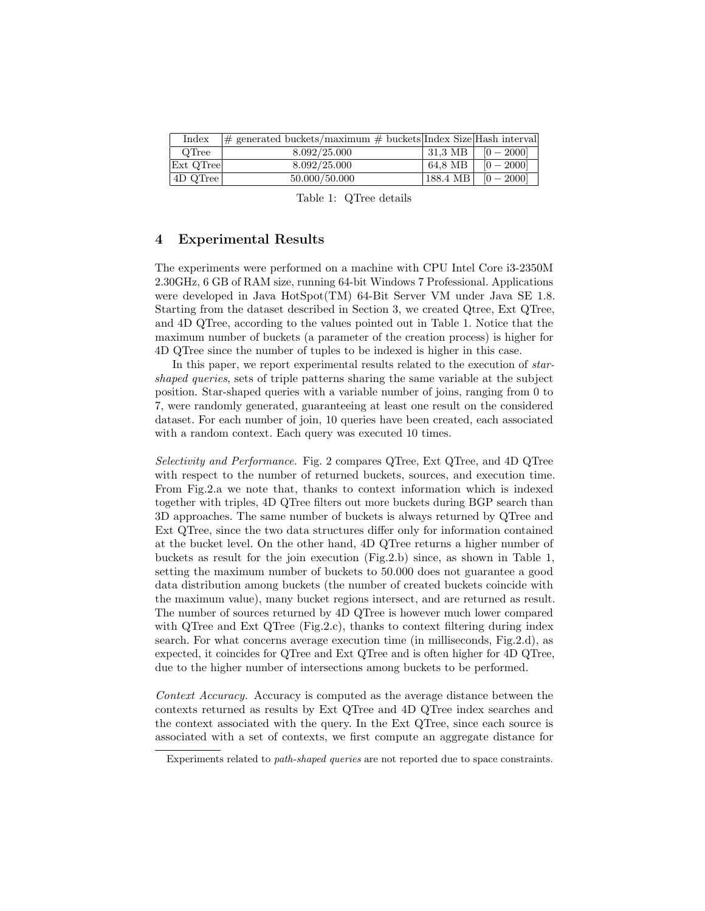| Index          | $ \#$ generated buckets/maximum $\#$ buckets Index Size Hash interval |                       |                                   |
|----------------|-----------------------------------------------------------------------|-----------------------|-----------------------------------|
| OTree          | 8.092/25.000                                                          | $\mid$ 31.3 MB $\mid$ | $[0 - 2000]$                      |
| Ext QTree      | 8.092/25.000                                                          | 64.8 MB               | $[0 - 2000]$                      |
| $ 4D \tQTree $ | 50.000/50.000                                                         |                       | $ 188.4 \text{ MB} $ $ 0 - 2000 $ |

Table 1: QTree details

## 4 Experimental Results

The experiments were performed on a machine with CPU Intel Core i3-2350M 2.30GHz, 6 GB of RAM size, running 64-bit Windows 7 Professional. Applications were developed in Java HotSpot(TM) 64-Bit Server VM under Java SE 1.8. Starting from the dataset described in Section 3, we created Qtree, Ext QTree, and 4D QTree, according to the values pointed out in Table 1. Notice that the maximum number of buckets (a parameter of the creation process) is higher for 4D QTree since the number of tuples to be indexed is higher in this case.

In this paper, we report experimental results related to the execution of starshaped queries, sets of triple patterns sharing the same variable at the subject position. Star-shaped queries with a variable number of joins, ranging from 0 to 7, were randomly generated, guaranteeing at least one result on the considered dataset. For each number of join, 10 queries have been created, each associated with a random context. Each query was executed 10 times.

Selectivity and Performance. Fig. 2 compares QTree, Ext QTree, and 4D QTree with respect to the number of returned buckets, sources, and execution time. From Fig.2.a we note that, thanks to context information which is indexed together with triples, 4D QTree filters out more buckets during BGP search than 3D approaches. The same number of buckets is always returned by QTree and Ext QTree, since the two data structures differ only for information contained at the bucket level. On the other hand, 4D QTree returns a higher number of buckets as result for the join execution (Fig.2.b) since, as shown in Table 1, setting the maximum number of buckets to 50.000 does not guarantee a good data distribution among buckets (the number of created buckets coincide with the maximum value), many bucket regions intersect, and are returned as result. The number of sources returned by 4D QTree is however much lower compared with QTree and Ext QTree (Fig.2.c), thanks to context filtering during index search. For what concerns average execution time (in milliseconds, Fig.2.d), as expected, it coincides for QTree and Ext QTree and is often higher for 4D QTree, due to the higher number of intersections among buckets to be performed.

Context Accuracy. Accuracy is computed as the average distance between the contexts returned as results by Ext QTree and 4D QTree index searches and the context associated with the query. In the Ext QTree, since each source is associated with a set of contexts, we first compute an aggregate distance for

Experiments related to path-shaped queries are not reported due to space constraints.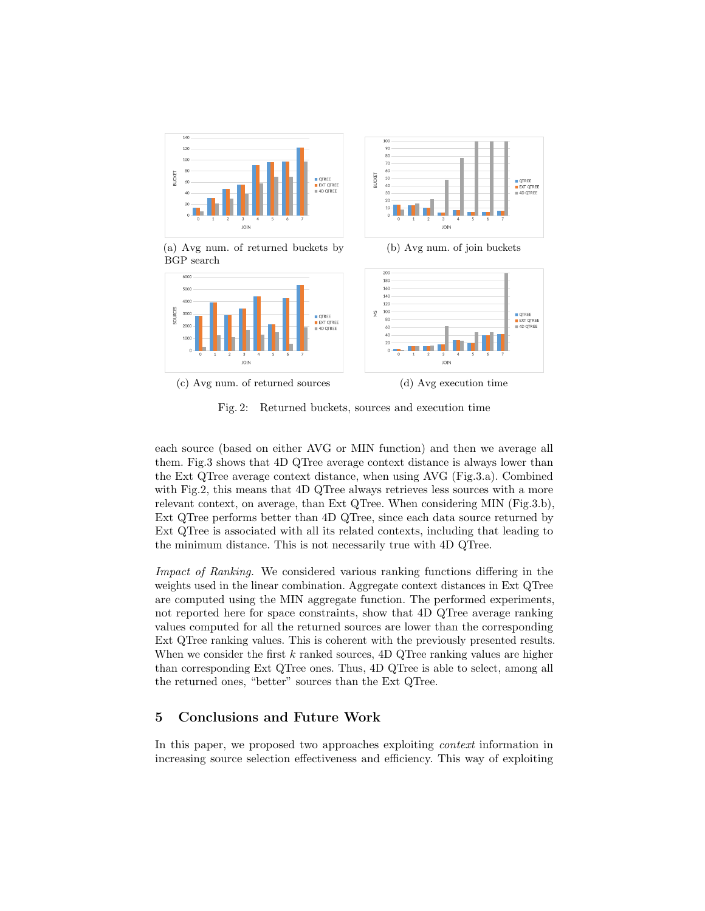

(c) Avg num. of returned sources (d) Avg execution time



JOIN

each source (based on either AVG or MIN function) and then we average all them. Fig.3 shows that 4D QTree average context distance is always lower than the Ext QTree average context distance, when using AVG (Fig.3.a). Combined with Fig.2, this means that 4D QTree always retrieves less sources with a more relevant context, on average, than Ext QTree. When considering MIN (Fig.3.b), Ext QTree performs better than 4D QTree, since each data source returned by Ext QTree is associated with all its related contexts, including that leading to the minimum distance. This is not necessarily true with 4D QTree.

Impact of Ranking. We considered various ranking functions differing in the weights used in the linear combination. Aggregate context distances in Ext QTree are computed using the MIN aggregate function. The performed experiments, not reported here for space constraints, show that 4D QTree average ranking values computed for all the returned sources are lower than the corresponding Ext QTree ranking values. This is coherent with the previously presented results. When we consider the first  $k$  ranked sources, 4D QTree ranking values are higher than corresponding Ext QTree ones. Thus, 4D QTree is able to select, among all the returned ones, "better" sources than the Ext QTree.

## 5 Conclusions and Future Work

In this paper, we proposed two approaches exploiting *context* information in increasing source selection effectiveness and efficiency. This way of exploiting